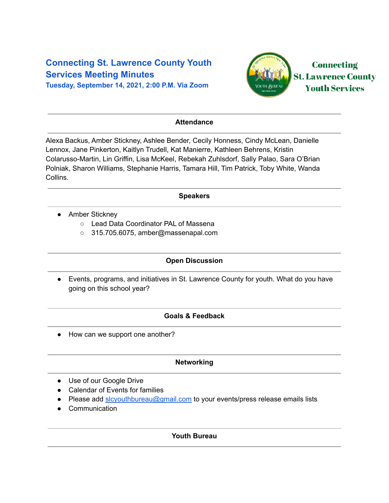# **Connecting St. Lawrence County Youth Services Meeting Minutes**

**Tuesday, September 14, 2021, 2:00 P.M. Via Zoom**



### **Attendance**

Alexa Backus, Amber Stickney, Ashlee Bender, Cecily Honness, Cindy McLean, Danielle Lennox, Jane Pinkerton, Kaitlyn Trudell, Kat Manierre, Kathleen Behrens, Kristin Colarusso-Martin, Lin Griffin, Lisa McKeel, Rebekah Zuhlsdorf, Sally Palao, Sara O'Brian Polniak, Sharon Williams, Stephanie Harris, Tamara Hill, Tim Patrick, Toby White, Wanda Collins.

#### **Speakers**

- Amber Stickney
	- Lead Data Coordinator PAL of Massena
	- 315.705.6075, amber@massenapal.com

## **Open Discussion**

● Events, programs, and initiatives in St. Lawrence County for youth. What do you have going on this school year?

#### **Goals & Feedback**

• How can we support one another?

#### **Networking**

- Use of our Google Drive
- Calendar of Events for families
- Please add [slcyouthbureau@gmail.com](mailto:slcyouthbureau@gmail.com) to your events/press release emails lists
- Communication

## **Youth Bureau**